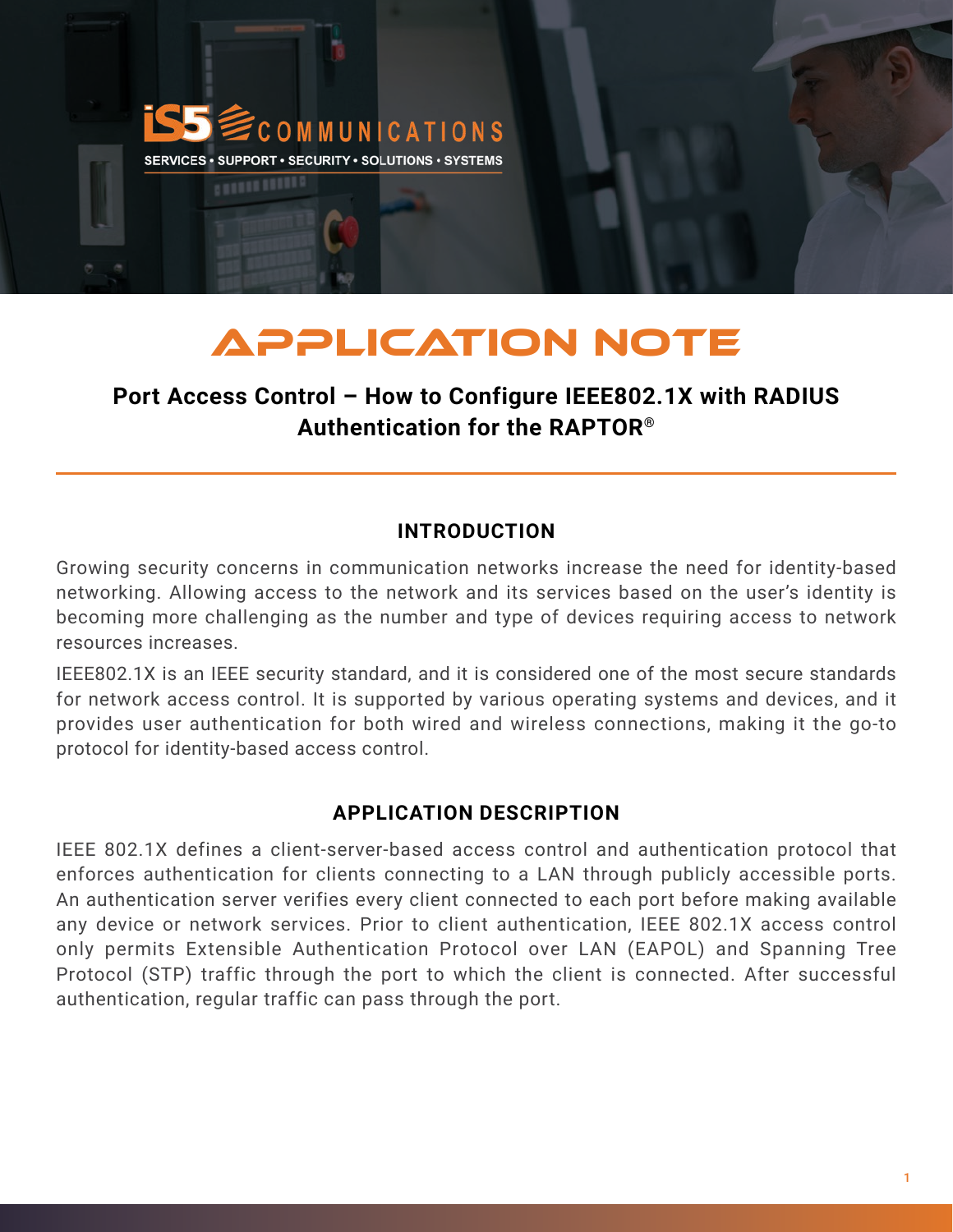

# APPLICATION NOTE

# **Port Access Control – How to Configure IEEE802.1X with RADIUS Authentication for the RAPTOR®**

# **INTRODUCTION**

Growing security concerns in communication networks increase the need for identity-based networking. Allowing access to the network and its services based on the user's identity is becoming more challenging as the number and type of devices requiring access to network resources increases.

IEEE802.1X is an IEEE security standard, and it is considered one of the most secure standards for network access control. It is supported by various operating systems and devices, and it provides user authentication for both wired and wireless connections, making it the go-to protocol for identity-based access control.

## **APPLICATION DESCRIPTION**

IEEE 802.1X defines a client-server-based access control and authentication protocol that enforces authentication for clients connecting to a LAN through publicly accessible ports. An authentication server verifies every client connected to each port before making available any device or network services. Prior to client authentication, IEEE 802.1X access control only permits Extensible Authentication Protocol over LAN (EAPOL) and Spanning Tree Protocol (STP) traffic through the port to which the client is connected. After successful authentication, regular traffic can pass through the port.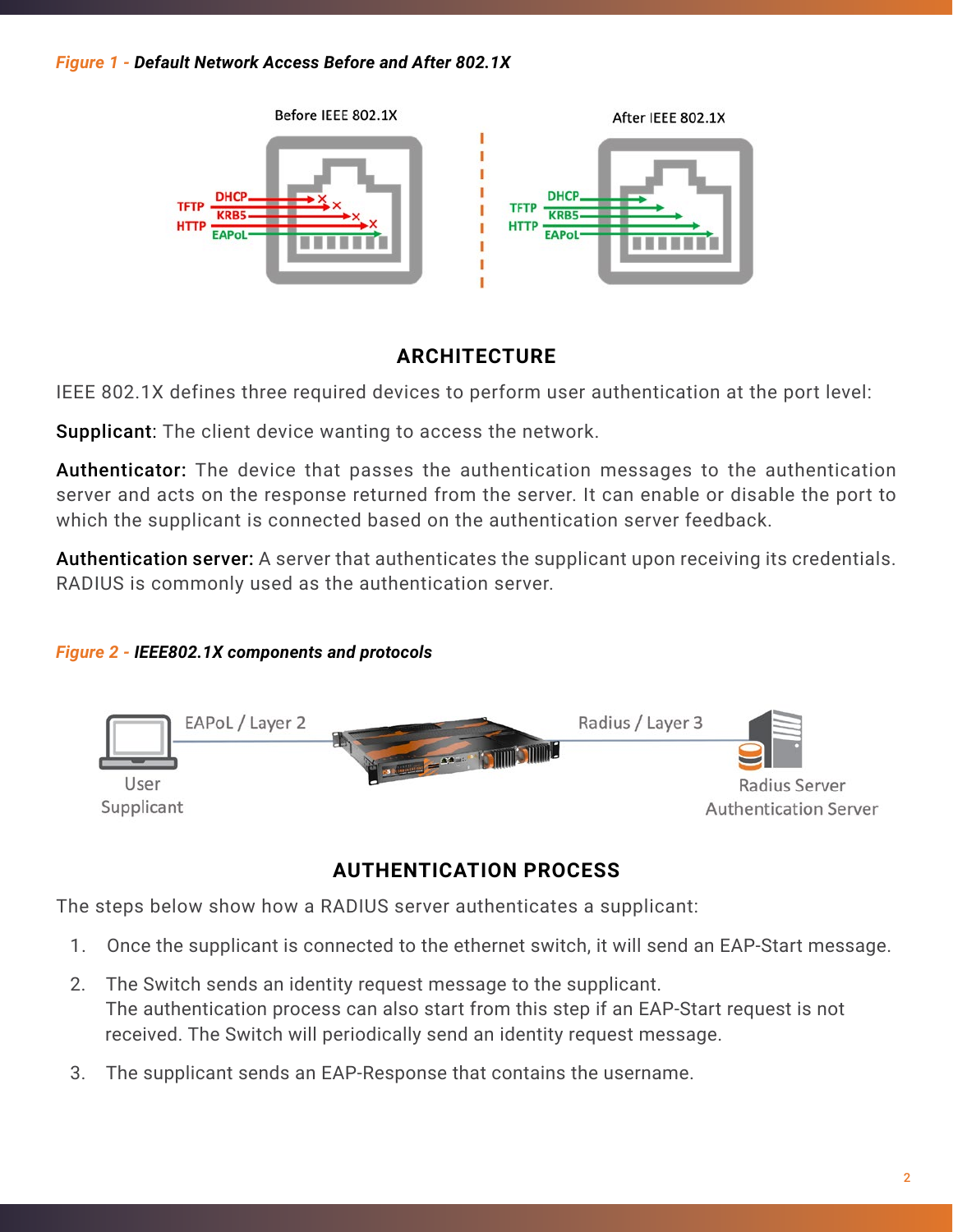

# **ARCHITECTURE**

IEEE 802.1X defines three required devices to perform user authentication at the port level:

Supplicant: The client device wanting to access the network.

Authenticator: The device that passes the authentication messages to the authentication server and acts on the response returned from the server. It can enable or disable the port to which the supplicant is connected based on the authentication server feedback.

Authentication server: A server that authenticates the supplicant upon receiving its credentials. RADIUS is commonly used as the authentication server.

## *Figure 2 - IEEE802.1X components and protocols*



# **AUTHENTICATION PROCESS**

The steps below show how a RADIUS server authenticates a supplicant:

- 1. Once the supplicant is connected to the ethernet switch, it will send an EAP-Start message.
- 2. The Switch sends an identity request message to the supplicant. The authentication process can also start from this step if an EAP-Start request is not received. The Switch will periodically send an identity request message.
- 3. The supplicant sends an EAP-Response that contains the username.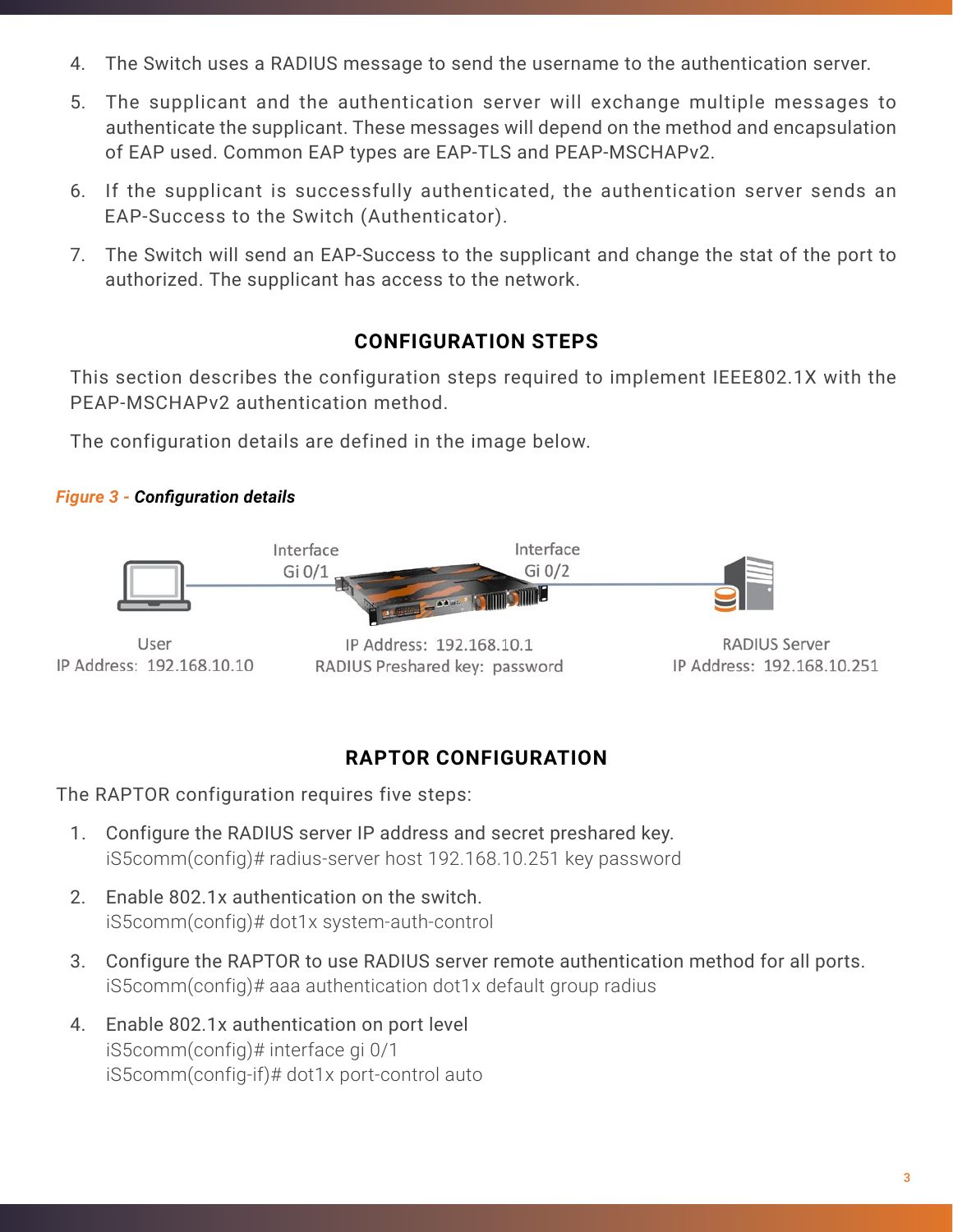- 4. The Switch uses a RADIUS message to send the username to the authentication server.
- 5. The supplicant and the authentication server will exchange multiple messages to authenticate the supplicant. These messages will depend on the method and encapsulation of EAP used. Common EAP types are EAP-TLS and PEAP-MSCHAPv2.
- 6. If the supplicant is successfully authenticated, the authentication server sends an EAP-Success to the Switch (Authenticator).
- 7. The Switch will send an EAP-Success to the supplicant and change the stat of the port to authorized. The supplicant has access to the network.

# **CONFIGURATION STEPS**

This section describes the configuration steps required to implement IEEE802.1X with the PEAP-MSCHAPv2 authentication method.

The configuration details are defined in the image below.

### *Figure 3 - Configuration details*



IP Address: 192.168.10.10

IP Address: 192.168.10.1 RADIUS Preshared key: password

**RADIUS Server** IP Address: 192.168.10.251

# **RAPTOR CONFIGURATION**

The RAPTOR configuration requires five steps:

- 1. Configure the RADIUS server IP address and secret preshared key. iS5comm(config)# radius-server host 192.168.10.251 key password
- 2. Enable 802.1x authentication on the switch. iS5comm(config)# dot1x system-auth-control
- 3. Configure the RAPTOR to use RADIUS server remote authentication method for all ports. iS5comm(config)# aaa authentication dot1x default group radius
- 4. Enable 802.1x authentication on port level iS5comm(config)# interface gi 0/1 iS5comm(config-if)# dot1x port-control auto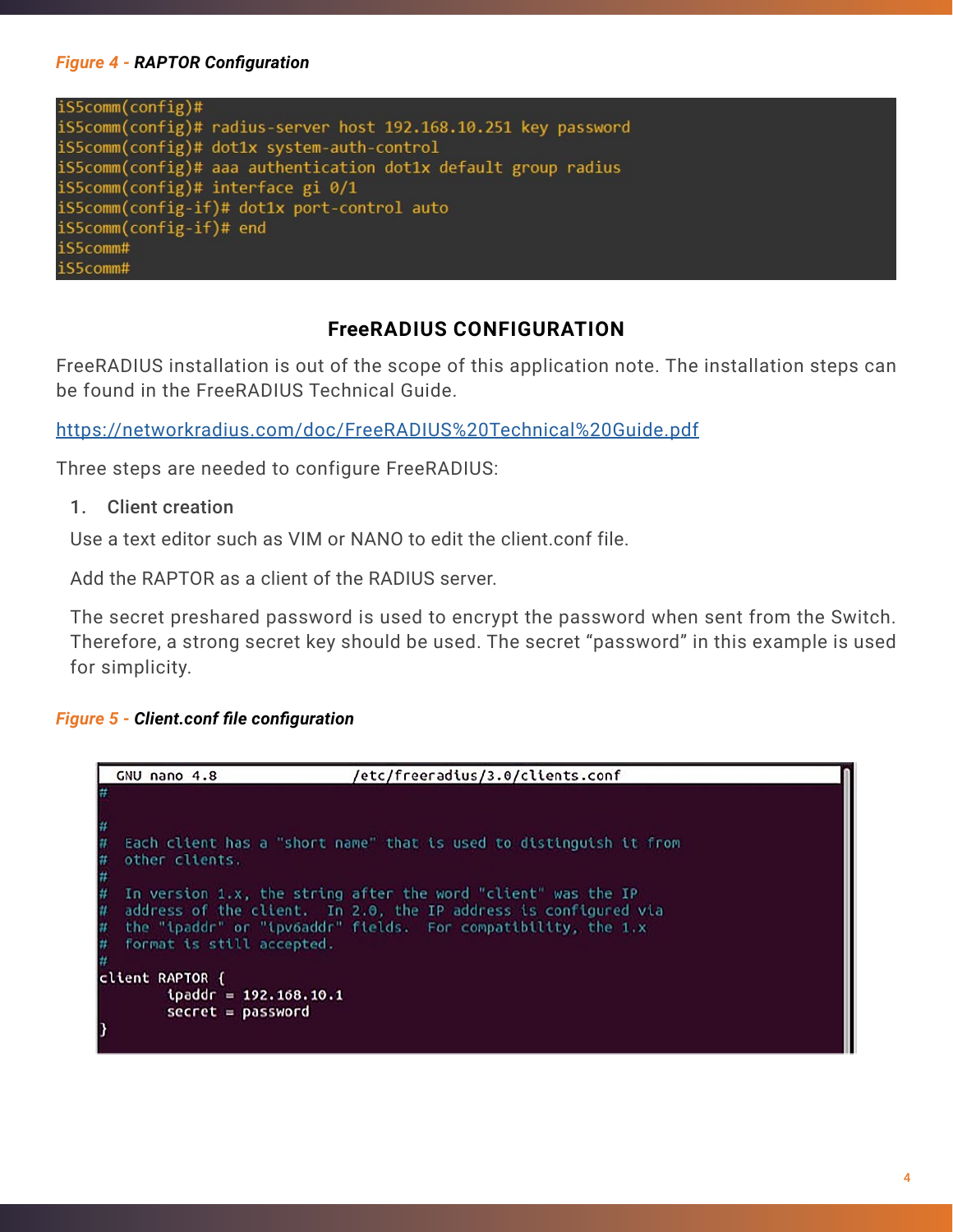#### *Figure 4 - RAPTOR Configuration*

| iS5comm(config)#                                                |
|-----------------------------------------------------------------|
| iS5comm(config)# radius-server host 192.168.10.251 key password |
| iS5comm(config)# dot1x system-auth-control                      |
| iS5comm(config)# aaa authentication dot1x default group radius  |
| iS5comm(config)# interface gi 0/1                               |
| iS5comm(config-if)# dot1x port-control auto                     |
| iS5comm(config-if)# end                                         |
| iS5comm#                                                        |
| iS5comm#                                                        |

#### **FreeRADIUS CONFIGURATION**

FreeRADIUS installation is out of the scope of this application note. The installation steps can be found in the FreeRADIUS Technical Guide.

<https://networkradius.com/doc/FreeRADIUS%20Technical%20Guide.pdf>

Three steps are needed to configure FreeRADIUS:

1. Client creation

Use a text editor such as VIM or NANO to edit the client.conf file.

Add the RAPTOR as a client of the RADIUS server.

The secret preshared password is used to encrypt the password when sent from the Switch. Therefore, a strong secret key should be used. The secret "password" in this example is used for simplicity.

#### *Figure 5 - Client.conf file configuration*

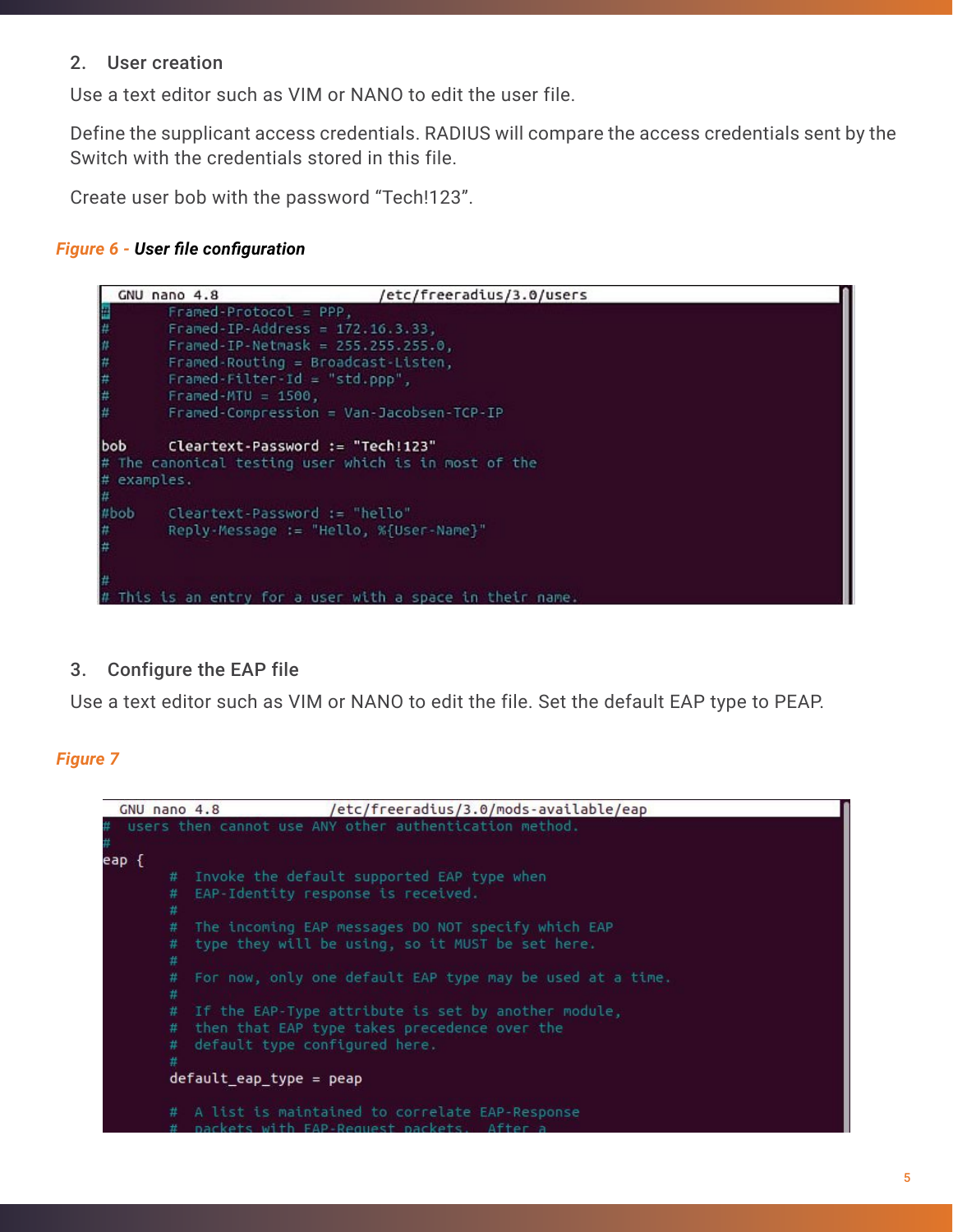#### 2. User creation

Use a text editor such as VIM or NANO to edit the user file.

Define the supplicant access credentials. RADIUS will compare the access credentials sent by the Switch with the credentials stored in this file.

Create user bob with the password "Tech!123".

#### *Figure 6 - User file configuration*



#### 3. Configure the EAP file

Use a text editor such as VIM or NANO to edit the file. Set the default EAP type to PEAP.

#### *Figure 7*

GNU nano 4.8 /etc/freeradius/3.0/mods-available/eap users then cannot use ANY other authentication method. eap { # Invoke the default supported EAP type when # EAP-Identity response is received. # # The incoming EAP messages DO NOT specify which EAP type they will be using, so it MUST be set here. For now, only one default EAP type may be used at a time. # If the EAP-Type attribute is set by another module, # then that EAP type takes precedence over the # default type configured here.  $default\_eap_type = pep$ # A list is maintained to correlate EAP-Response uith EAD-Donnact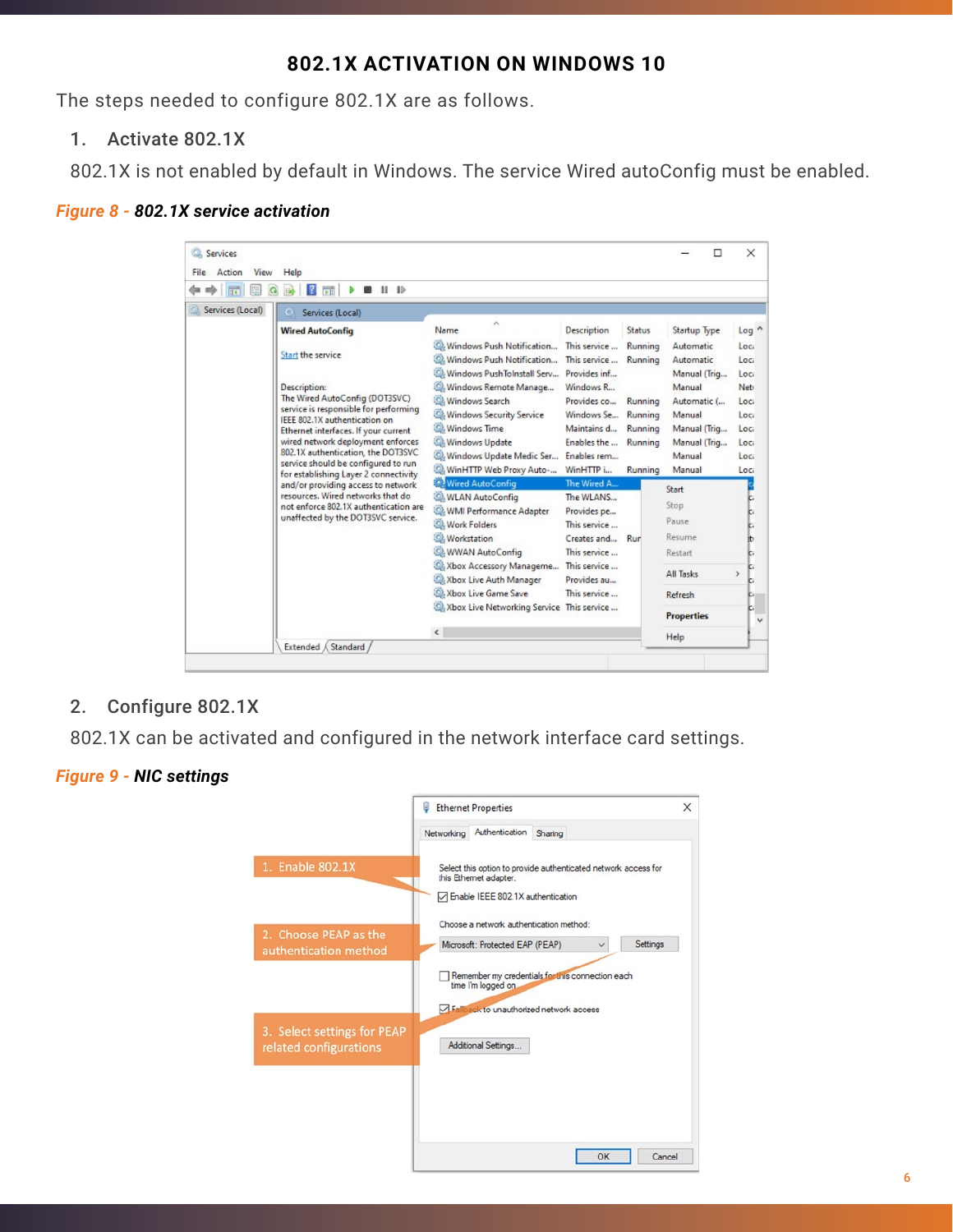## **802.1X ACTIVATION ON WINDOWS 10**

The steps needed to configure 802.1X are as follows.

1. Activate 802.1X

802.1X is not enabled by default in Windows. The service Wired autoConfig must be enabled.

#### *Figure 8 - 802.1X service activation*

|                                                                                                                                                                                                                                                                                                                                                                                                                                                                                                                                                                               | $\mathbf{B}$                                                                                                                                                                                                                                                                                                             |                                                                                                                                                                                                                                                                 |                                                                                                                                    |                                                                                                    |                                                                                                                                     |                                                                              |
|-------------------------------------------------------------------------------------------------------------------------------------------------------------------------------------------------------------------------------------------------------------------------------------------------------------------------------------------------------------------------------------------------------------------------------------------------------------------------------------------------------------------------------------------------------------------------------|--------------------------------------------------------------------------------------------------------------------------------------------------------------------------------------------------------------------------------------------------------------------------------------------------------------------------|-----------------------------------------------------------------------------------------------------------------------------------------------------------------------------------------------------------------------------------------------------------------|------------------------------------------------------------------------------------------------------------------------------------|----------------------------------------------------------------------------------------------------|-------------------------------------------------------------------------------------------------------------------------------------|------------------------------------------------------------------------------|
| Services (Local)<br>Services (Local)<br><b>Wired AutoConfig</b><br>Start the service<br>Description:<br>The Wired AutoConfig (DOT3SVC)<br>service is responsible for performing<br>IEEE 802.1X authentication on<br>Ethernet interfaces. If your current<br>wired network deployment enforces<br>802.1X authentication, the DOT3SVC<br>service should be configured to run<br>for establishing Layer 2 connectivity<br>and/or providing access to network<br>resources. Wired networks that do<br>not enforce 802.1X authentication are<br>unaffected by the DOT3SVC service. |                                                                                                                                                                                                                                                                                                                          | ×<br>Name<br>C. Windows Push Notification<br>C. Windows Push Notification<br>Windows PushToInstall Serv Provides inf<br>Windows Remote Manage<br>Windows Search<br>C. Windows Security Service<br>C. Windows Time<br>Windows Update<br>Windows Update Medic Ser | Description<br>This service<br>This service<br>Windows R<br>Provides co<br>Windows Se<br>Maintains d<br>Enables the<br>Enables rem | Status<br>Running<br>Running<br>Running<br>Running<br>Running<br>Running                           | Startup Type<br>Automatic<br>Automatic<br>Manual (Trig<br>Manual<br>Automatic (<br>Manual<br>Manual (Triq<br>Manual (Trig<br>Manual | Log ^<br>Loci<br>Loci<br>Loci<br>Neb<br>Loci<br>Loci<br>Loci<br>Loci<br>Loci |
|                                                                                                                                                                                                                                                                                                                                                                                                                                                                                                                                                                               | WinHTTP Web Proxy Auto-<br><b>Wired AutoConfig</b><br><b>C. WLAN AutoConfig</b><br>WMI Performance Adapter<br><b>Work Folders</b><br><b>Workstation</b><br>C: WWAN AutoConfig<br>Xbox Accessory Manageme<br>Xbox Live Auth Manager<br>Co. Xbox Live Game Save<br>Xbox Live Networking Service This service<br>$\epsilon$ | WinHTTP i<br>The Wired A<br>The WLANS<br>Provides pe<br>This service<br>Creates and<br>This service<br>This service<br>Provides au<br>This service                                                                                                              | Running<br>Rur                                                                                                                     | Manual<br>Start<br>Stop<br>Pause<br>Resume<br>Restart<br>All Tasks<br>Refresh<br><b>Properties</b> | Loci<br>ы<br>肋<br>c.<br>c.<br>5<br>ı.<br>ŗ.<br>c.                                                                                   |                                                                              |

2. Configure 802.1X

802.1X can be activated and configured in the network interface card settings.

#### *Figure 9 - NIC settings*

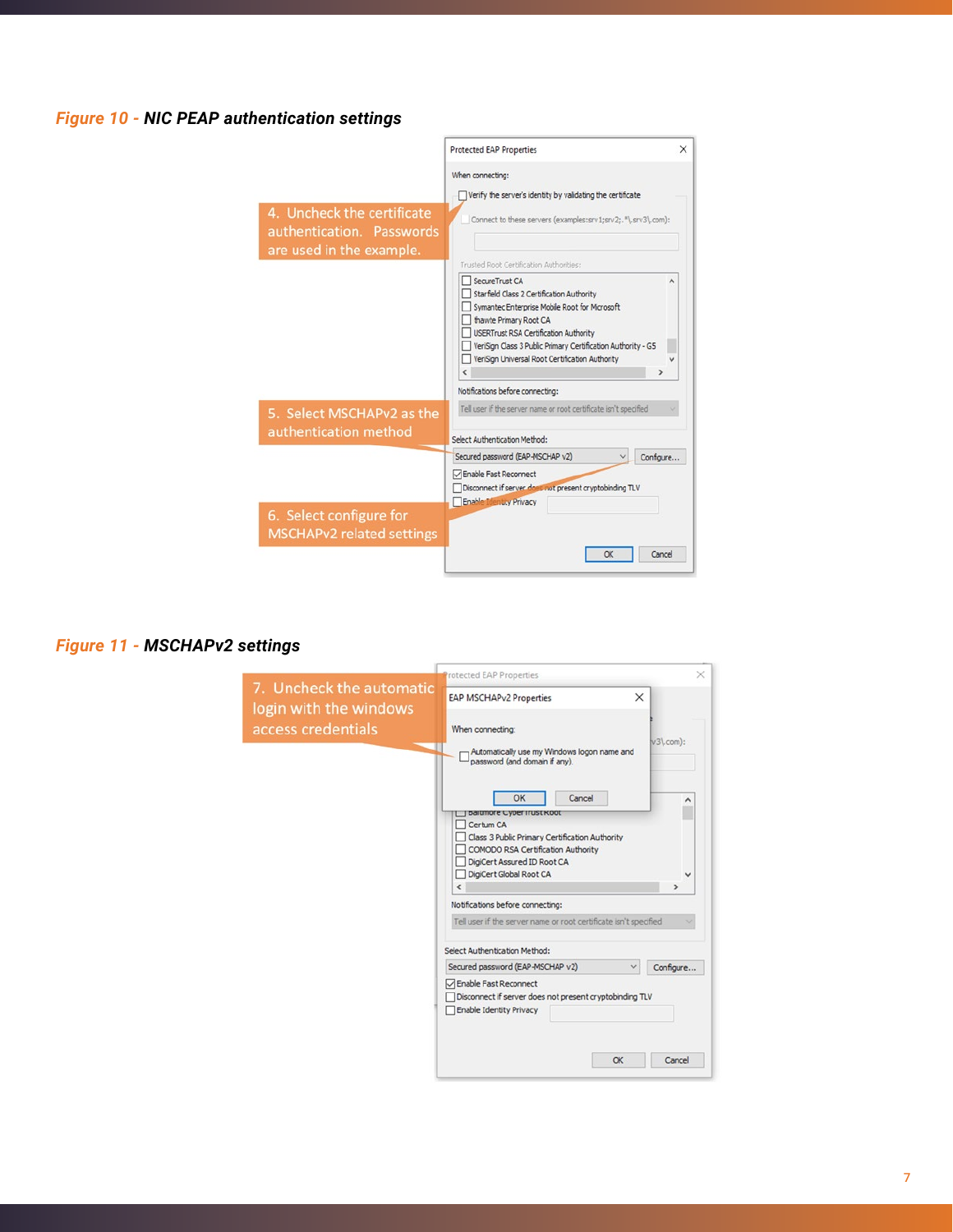#### *Figure 10 - NIC PEAP authentication settings*



#### *Figure 11 - MSCHAPv2 settings*

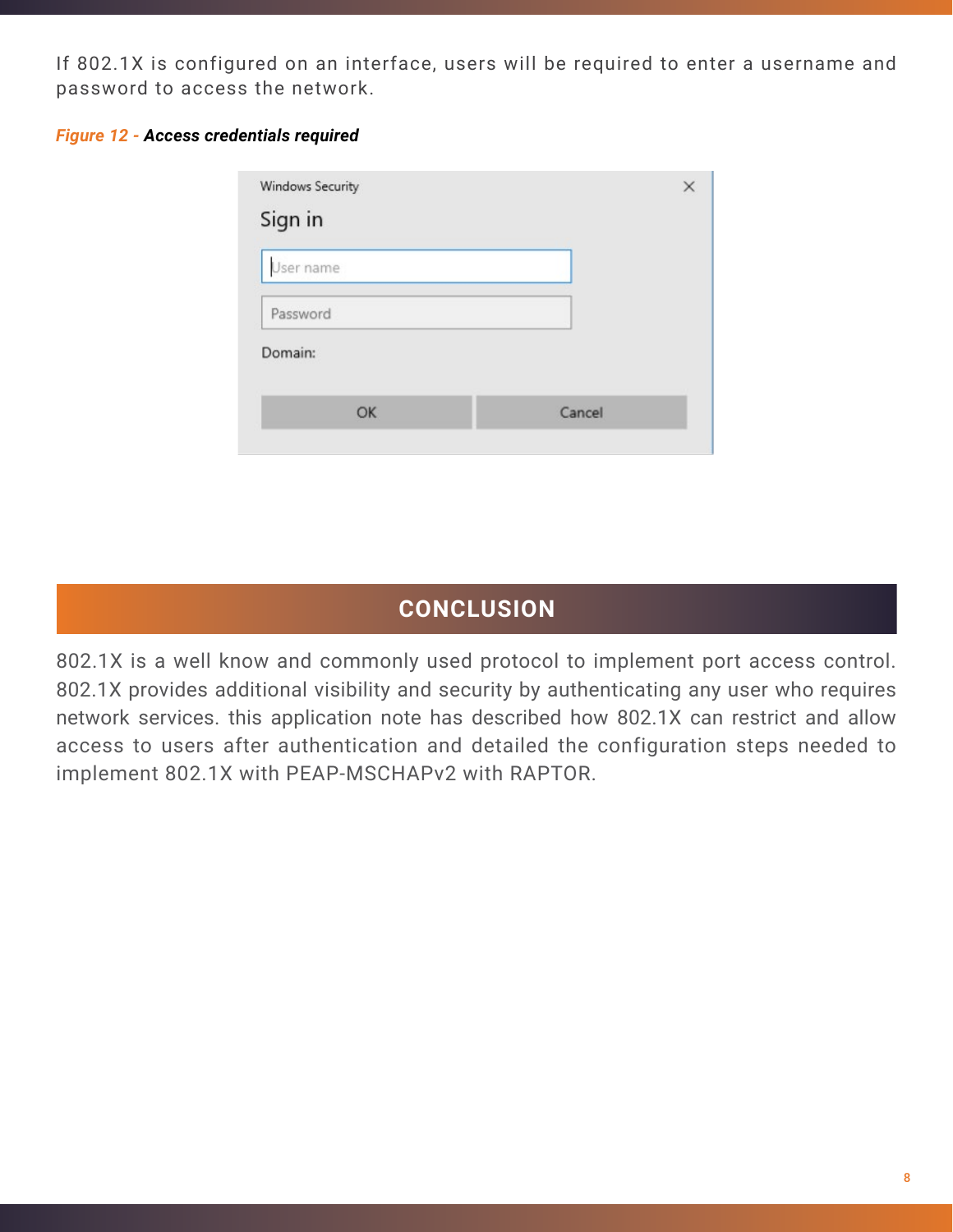If 802.1X is configured on an interface, users will be required to enter a username and password to access the network.

|  |  | <b>Figure 12 - Access credentials required</b> |  |
|--|--|------------------------------------------------|--|
|--|--|------------------------------------------------|--|

| $\times$ |
|----------|
|          |
|          |
|          |
|          |
| Cancel   |
|          |

# **CONCLUSION**

802.1X is a well know and commonly used protocol to implement port access control. 802.1X provides additional visibility and security by authenticating any user who requires network services. this application note has described how 802.1X can restrict and allow access to users after authentication and detailed the configuration steps needed to implement 802.1X with PEAP-MSCHAPv2 with RAPTOR.